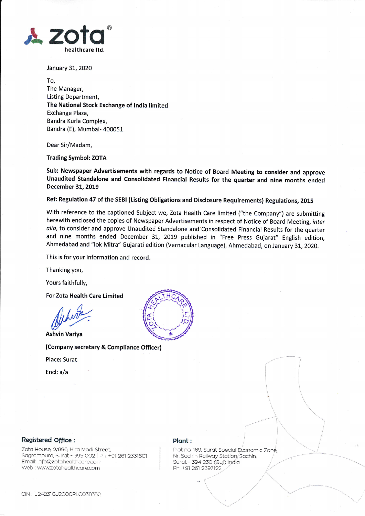

January 31, 2020

To, The Manager, Listing Department, The National Stock Exchange of India limited Exchange Plaza, Bandra Kurla Complex, Bandra (E), Mumbai- 400051

Dear Sir/Madam,

## Trading Symbol: ZOTA

Sub: Newspaper Advertisements with regards to Notice of Board Meeting to consider and approve Unaudited Standalone and Consolidated Financial Results for the guarter and nine months ended December 31,20t9

Ref: Regulation 47 of the SEBI (Listing Obligations and Disclosure Requirements) Regulations, 2015

With reference to the captioned Subject we, Zota Health Care limited ("the Company") are submitting herewith enclosed the copies of Newspaper Advertisements in respect of Notice of Board Meeting, inter alia, to consider and approve Unaudited Standalone and Consolidated Financial Results for the quarter and nine months ended December 31., 2019 published in "Free Press Gujarat" English edition, Ahmedabad and "lok Mitra" Gujarati edition (Vernacular Language), Ahmedabad, on January 31, 2020.

This is for your information and record.

Thanking you,

Yours faithfully,

For Zota Health Care Limited

or Zota Health C.<br>Md *WWL*<br>hvin Variya

Ashvin Variya

(Company secretary & Compliance Officer)

Place: Surat

Encl: a/a



## Registered Office:

Zota House, 2/896, Hira Modi Street. Sagrampura, Surat - 395 002 | Ph: +91 261 2331601 Emoil: lnfo@zotoheolthcore.com Web : www.zotahealthcare.com

## Plont:

Nr. Sachin Railway Station, Sachin, Surat - 394 230 (Guj.) India Ph: +91 261 2397122 Plot no. 169, Surat Special Economic Zone,

 $\searrow$   $\searrow$ 

ii

 $\overline{\phantom{a}}$  $\left\{ \cdot\right\}$ 

> $\overline{\phantom{a}}$  $\diagdown$